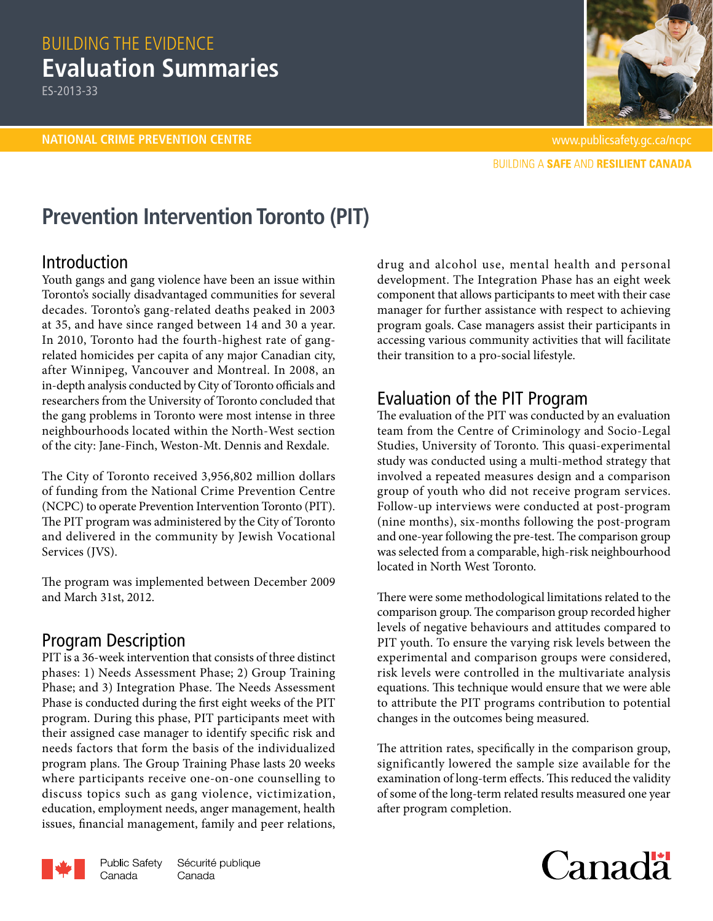# BUILDING THE EVIDENCE **Evaluation Summaries**

ES-2013-33



**BUILDING A SAFE AND RESILIENT CANADA** 

# **Prevention Intervention Toronto (PIT)**

## Introduction

Youth gangs and gang violence have been an issue within Toronto's socially disadvantaged communities for several decades. Toronto's gang-related deaths peaked in 2003 at 35, and have since ranged between 14 and 30 a year. In 2010, Toronto had the fourth-highest rate of gangrelated homicides per capita of any major Canadian city, after Winnipeg, Vancouver and Montreal. In 2008, an in-depth analysis conducted by City of Toronto officials and researchers from the University of Toronto concluded that the gang problems in Toronto were most intense in three neighbourhoods located within the North-West section of the city: Jane-Finch, Weston-Mt. Dennis and Rexdale.

The City of Toronto received 3,956,802 million dollars of funding from the National Crime Prevention Centre (NCPC) to operate Prevention Intervention Toronto (PIT). The PIT program was administered by the City of Toronto and delivered in the community by Jewish Vocational Services (IVS).

The program was implemented between December 2009 and March 31st, 2012.

## Program Description

PIT is a 36-week intervention that consists of three distinct phases: 1) Needs Assessment Phase; 2) Group Training Phase; and 3) Integration Phase. The Needs Assessment Phase is conducted during the first eight weeks of the PIT program. During this phase, PIT participants meet with their assigned case manager to identify specific risk and needs factors that form the basis of the individualized program plans. The Group Training Phase lasts 20 weeks where participants receive one-on-one counselling to discuss topics such as gang violence, victimization, education, employment needs, anger management, health issues, financial management, family and peer relations, drug and alcohol use, mental health and personal development. The Integration Phase has an eight week component that allows participants to meet with their case manager for further assistance with respect to achieving program goals. Case managers assist their participants in accessing various community activities that will facilitate their transition to a pro-social lifestyle.

## Evaluation of the Pit Program

The evaluation of the PIT was conducted by an evaluation team from the Centre of Criminology and Socio-Legal Studies, University of Toronto. This quasi-experimental study was conducted using a multi-method strategy that involved a repeated measures design and a comparison group of youth who did not receive program services. Follow-up interviews were conducted at post-program (nine months), six-months following the post-program and one-year following the pre-test. The comparison group was selected from a comparable, high-risk neighbourhood located in North West Toronto.

There were some methodological limitations related to the comparison group. The comparison group recorded higher levels of negative behaviours and attitudes compared to PIT youth. To ensure the varying risk levels between the experimental and comparison groups were considered, risk levels were controlled in the multivariate analysis equations. This technique would ensure that we were able to attribute the PIT programs contribution to potential changes in the outcomes being measured.

The attrition rates, specifically in the comparison group, significantly lowered the sample size available for the examination of long-term effects. This reduced the validity of some of the long-term related results measured one year after program completion.



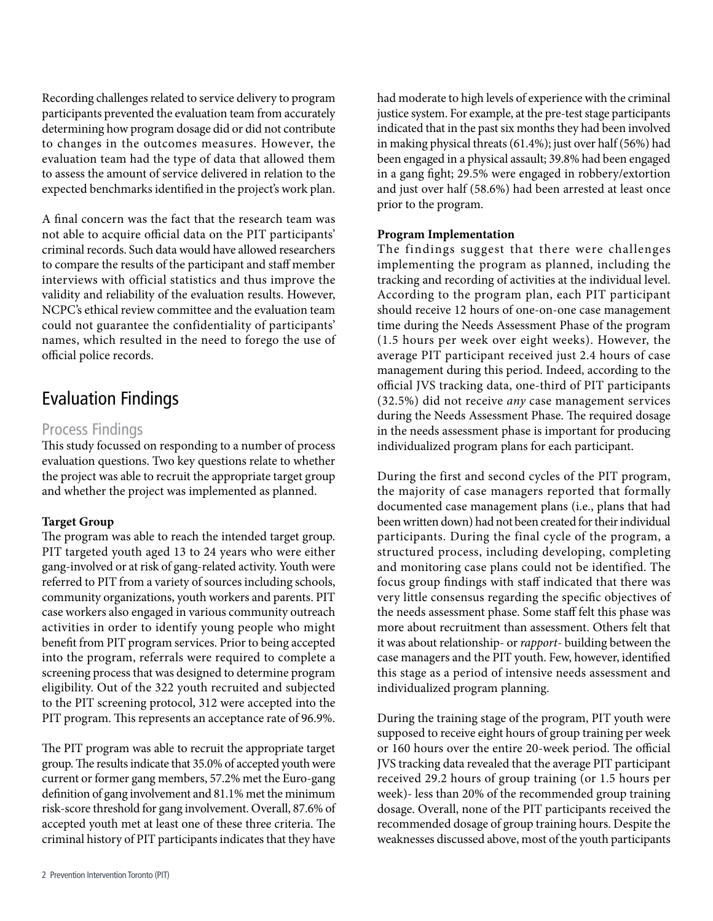Recording challenges related to service delivery to program participants prevented the evaluation team from accurately determining how program dosage did or did not contribute to changes in the outcomes measures. However, the evaluation team had the type of data that allowed them to assess the amount of service delivered in relation to the expected benchmarks identified in the project's work plan.

A final concern was the fact that the research team was not able to acquire official data on the PIT participants' criminal records. Such data would have allowed researchers to compare the results of the participant and staff member interviews with official statistics and thus improve the validity and reliability of the evaluation results. However, NCPC's ethical review committee and the evaluation team could not guarantee the confidentiality of participants' names, which resulted in the need to forego the use of official police records.

## Evaluation Findings

### Process Findings

This study focussed on responding to a number of process evaluation questions. Two key questions relate to whether the project was able to recruit the appropriate target group and whether the project was implemented as planned.

#### **Target Group**

2 Prevention Intervention Toronto (PIT)

The program was able to reach the intended target group. PIT targeted youth aged 13 to 24 years who were either gang-involved or at risk of gang-related activity. Youth were referred to PIT from a variety of sources including schools, community organizations, youth workers and parents. PIT case workers also engaged in various community outreach activities in order to identify young people who might benefit from PIT program services. Prior to being accepted into the program, referrals were required to complete a screening process that was designed to determine program eligibility. Out of the 322 youth recruited and subjected to the PIT screening protocol, 312 were accepted into the PIT program. This represents an acceptance rate of 96.9%.

The PIT program was able to recruit the appropriate target group. The results indicate that 35.0% of accepted youth were current or former gang members, 57.2% met the Euro-gang definition of gang involvement and 81.1% met the minimum risk-score threshold for gang involvement. Overall, 87.6% of accepted youth met at least one of these three criteria. The criminal history of PIT participants indicates that they have

had moderate to high levels of experience with the criminal justice system. For example, at the pre-test stage participants indicated that in the past six months they had been involved in making physical threats (61.4%); just over half (56%) had been engaged in a physical assault; 39.8% had been engaged in a gang fight; 29.5% were engaged in robbery/extortion and just over half (58.6%) had been arrested at least once prior to the program.

#### **Program Implementation**

The findings suggest that there were challenges implementing the program as planned, including the tracking and recording of activities at the individual level. According to the program plan, each PIT participant should receive 12 hours of one-on-one case management time during the Needs Assessment Phase of the program (1.5 hours per week over eight weeks). However, the average PIT participant received just 2.4 hours of case management during this period. Indeed, according to the official JVS tracking data, one-third of PIT participants (32.5%) did not receive *any* case management services during the Needs Assessment Phase. The required dosage in the needs assessment phase is important for producing individualized program plans for each participant.

During the first and second cycles of the PIT program, the majority of case managers reported that formally documented case management plans (i.e., plans that had been written down) had not been created for their individual participants. During the final cycle of the program, a structured process, including developing, completing and monitoring case plans could not be identified. The focus group findings with staff indicated that there was very little consensus regarding the specific objectives of the needs assessment phase. Some staff felt this phase was more about recruitment than assessment. Others felt that it was about relationship- or *rapport*- building between the case managers and the PIT youth. Few, however, identified this stage as a period of intensive needs assessment and individualized program planning.

During the training stage of the program, PIT youth were supposed to receive eight hours of group training per week or 160 hours over the entire 20-week period. The official JVS tracking data revealed that the average PIT participant received 29.2 hours of group training (or 1.5 hours per week)- less than 20% of the recommended group training dosage. Overall, none of the PIT participants received the recommended dosage of group training hours. Despite the weaknesses discussed above, most of the youth participants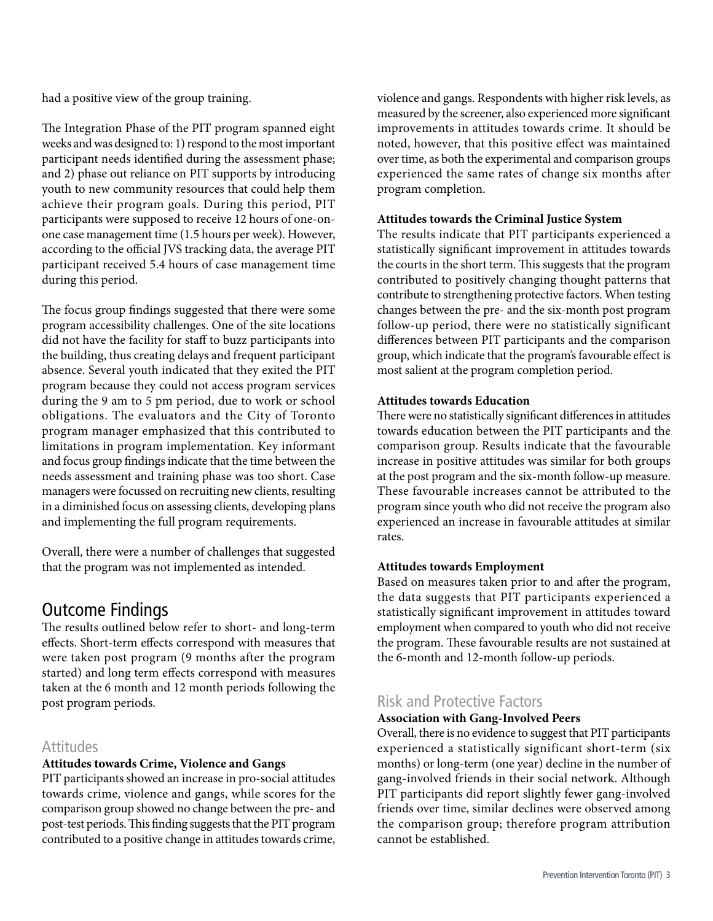had a positive view of the group training.

The Integration Phase of the PIT program spanned eight weeks and was designed to: 1) respond to the most important participant needs identified during the assessment phase; and 2) phase out reliance on PIT supports by introducing youth to new community resources that could help them achieve their program goals. During this period, PIT participants were supposed to receive 12 hours of one-onone case management time (1.5 hours per week). However, according to the official JVS tracking data, the average PIT participant received 5.4 hours of case management time during this period.

The focus group findings suggested that there were some program accessibility challenges. One of the site locations did not have the facility for staff to buzz participants into the building, thus creating delays and frequent participant absence. Several youth indicated that they exited the PIT program because they could not access program services during the 9 am to 5 pm period, due to work or school obligations. The evaluators and the City of Toronto program manager emphasized that this contributed to limitations in program implementation. Key informant and focus group findings indicate that the time between the needs assessment and training phase was too short. Case managers were focussed on recruiting new clients, resulting in a diminished focus on assessing clients, developing plans and implementing the full program requirements.

Overall, there were a number of challenges that suggested that the program was not implemented as intended.

### Outcome Findings

The results outlined below refer to short- and long-term effects. Short-term effects correspond with measures that were taken post program (9 months after the program started) and long term effects correspond with measures taken at the 6 month and 12 month periods following the post program periods.

### Attitudes

#### **Attitudes towards Crime, Violence and Gangs**

PIT participants showed an increase in pro-social attitudes towards crime, violence and gangs, while scores for the comparison group showed no change between the pre- and post-test periods. This finding suggests that the PIT program contributed to a positive change in attitudes towards crime, violence and gangs. Respondents with higher risk levels, as measured by the screener, also experienced more significant improvements in attitudes towards crime. It should be noted, however, that this positive effect was maintained over time, as both the experimental and comparison groups experienced the same rates of change six months after program completion.

#### **Attitudes towards the Criminal Justice System**

The results indicate that PIT participants experienced a statistically significant improvement in attitudes towards the courts in the short term. This suggests that the program contributed to positively changing thought patterns that contribute to strengthening protective factors. When testing changes between the pre- and the six-month post program follow-up period, there were no statistically significant differences between PIT participants and the comparison group, which indicate that the program's favourable effect is most salient at the program completion period.

#### **Attitudes towards Education**

There were no statistically significant differences in attitudes towards education between the PIT participants and the comparison group. Results indicate that the favourable increase in positive attitudes was similar for both groups at the post program and the six-month follow-up measure. These favourable increases cannot be attributed to the program since youth who did not receive the program also experienced an increase in favourable attitudes at similar rates.

#### **Attitudes towards Employment**

Based on measures taken prior to and after the program, the data suggests that PIT participants experienced a statistically significant improvement in attitudes toward employment when compared to youth who did not receive the program. These favourable results are not sustained at the 6-month and 12-month follow-up periods.

### Risk and Protective Factors

#### **Association with Gang-Involved Peers**

Overall, there is no evidence to suggest that PIT participants experienced a statistically significant short-term (six months) or long-term (one year) decline in the number of gang-involved friends in their social network. Although PIT participants did report slightly fewer gang-involved friends over time, similar declines were observed among the comparison group; therefore program attribution cannot be established.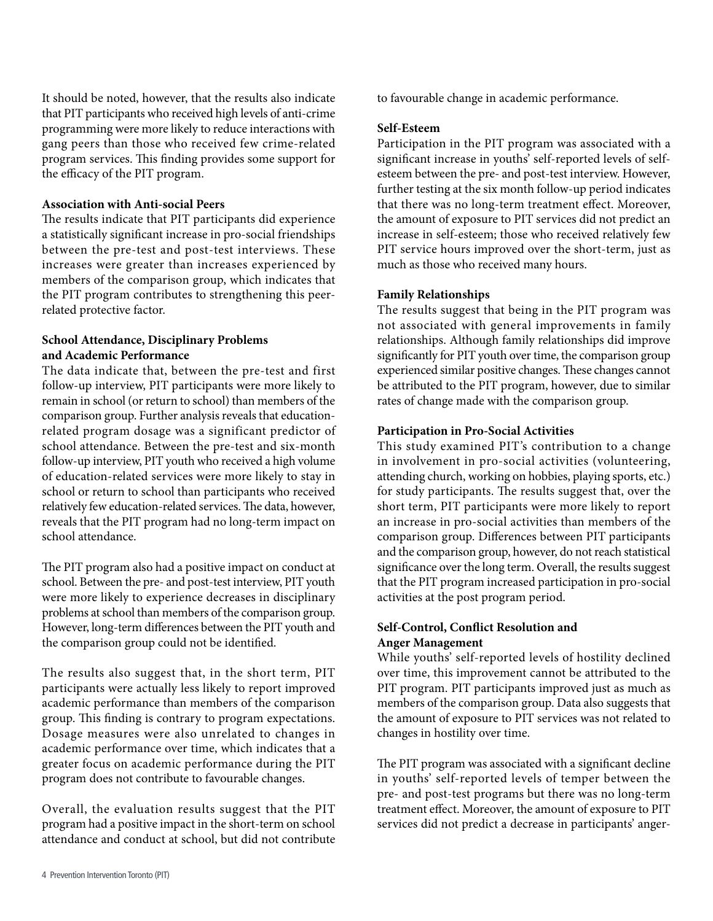It should be noted, however, that the results also indicate that PIT participants who received high levels of anti-crime programming were more likely to reduce interactions with gang peers than those who received few crime-related program services. This finding provides some support for the efficacy of the PIT program.

#### **Association with Anti-social Peers**

The results indicate that PIT participants did experience a statistically significant increase in pro-social friendships between the pre-test and post-test interviews. These increases were greater than increases experienced by members of the comparison group, which indicates that the PIT program contributes to strengthening this peerrelated protective factor.

#### **School Attendance, Disciplinary Problems and Academic Performance**

The data indicate that, between the pre-test and first follow-up interview, PIT participants were more likely to remain in school (or return to school) than members of the comparison group. Further analysis reveals that educationrelated program dosage was a significant predictor of school attendance. Between the pre-test and six-month follow-up interview, PIT youth who received a high volume of education-related services were more likely to stay in school or return to school than participants who received relatively few education-related services. The data, however, reveals that the PIT program had no long-term impact on school attendance.

The PIT program also had a positive impact on conduct at school. Between the pre- and post-test interview, PIT youth were more likely to experience decreases in disciplinary problems at school than members of the comparison group. However, long-term differences between the PIT youth and the comparison group could not be identified.

The results also suggest that, in the short term, PIT participants were actually less likely to report improved academic performance than members of the comparison group. This finding is contrary to program expectations. Dosage measures were also unrelated to changes in academic performance over time, which indicates that a greater focus on academic performance during the PIT program does not contribute to favourable changes.

Overall, the evaluation results suggest that the PIT program had a positive impact in the short-term on school attendance and conduct at school, but did not contribute to favourable change in academic performance.

#### **Self-Esteem**

Participation in the PIT program was associated with a significant increase in youths' self-reported levels of selfesteem between the pre- and post-test interview. However, further testing at the six month follow-up period indicates that there was no long-term treatment effect. Moreover, the amount of exposure to PIT services did not predict an increase in self-esteem; those who received relatively few PIT service hours improved over the short-term, just as much as those who received many hours.

#### **Family Relationships**

The results suggest that being in the PIT program was not associated with general improvements in family relationships. Although family relationships did improve significantly for PIT youth over time, the comparison group experienced similar positive changes. These changes cannot be attributed to the PIT program, however, due to similar rates of change made with the comparison group.

#### **Participation in Pro-Social Activities**

This study examined PIT's contribution to a change in involvement in pro-social activities (volunteering, attending church, working on hobbies, playing sports, etc.) for study participants. The results suggest that, over the short term, PIT participants were more likely to report an increase in pro-social activities than members of the comparison group. Differences between PIT participants and the comparison group, however, do not reach statistical significance over the long term. Overall, the results suggest that the PIT program increased participation in pro-social activities at the post program period.

#### **Self-Control, Conflict Resolution and Anger Management**

While youths' self-reported levels of hostility declined over time, this improvement cannot be attributed to the PIT program. PIT participants improved just as much as members of the comparison group. Data also suggests that the amount of exposure to PIT services was not related to changes in hostility over time.

The PIT program was associated with a significant decline in youths' self-reported levels of temper between the pre- and post-test programs but there was no long-term treatment effect. Moreover, the amount of exposure to PIT services did not predict a decrease in participants' anger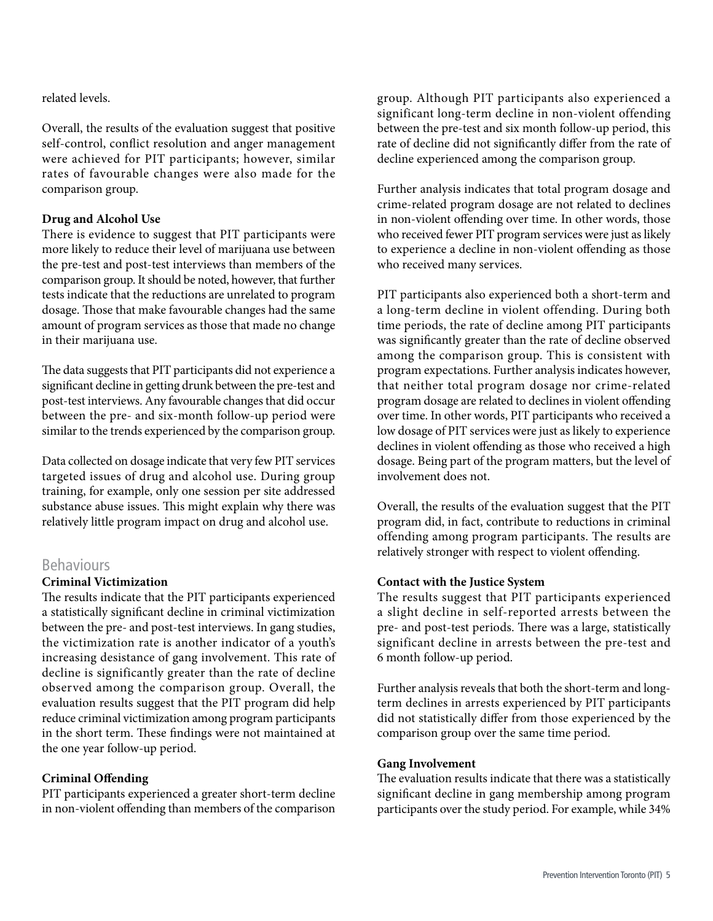related levels.

Overall, the results of the evaluation suggest that positive self-control, conflict resolution and anger management were achieved for PIT participants; however, similar rates of favourable changes were also made for the comparison group.

#### **Drug and Alcohol Use**

There is evidence to suggest that PIT participants were more likely to reduce their level of marijuana use between the pre-test and post-test interviews than members of the comparison group. It should be noted, however, that further tests indicate that the reductions are unrelated to program dosage. Those that make favourable changes had the same amount of program services as those that made no change in their marijuana use.

The data suggests that PIT participants did not experience a significant decline in getting drunk between the pre-test and post-test interviews. Any favourable changes that did occur between the pre- and six-month follow-up period were similar to the trends experienced by the comparison group.

Data collected on dosage indicate that very few PIT services targeted issues of drug and alcohol use. During group training, for example, only one session per site addressed substance abuse issues. This might explain why there was relatively little program impact on drug and alcohol use.

#### Behaviours

#### **Criminal Victimization**

The results indicate that the PIT participants experienced a statistically significant decline in criminal victimization between the pre- and post-test interviews. In gang studies, the victimization rate is another indicator of a youth's increasing desistance of gang involvement. This rate of decline is significantly greater than the rate of decline observed among the comparison group. Overall, the evaluation results suggest that the PIT program did help reduce criminal victimization among program participants in the short term. These findings were not maintained at the one year follow-up period.

#### **Criminal Offending**

PIT participants experienced a greater short-term decline in non-violent offending than members of the comparison group. Although PIT participants also experienced a significant long-term decline in non-violent offending between the pre-test and six month follow-up period, this rate of decline did not significantly differ from the rate of decline experienced among the comparison group.

Further analysis indicates that total program dosage and crime-related program dosage are not related to declines in non-violent offending over time. In other words, those who received fewer PIT program services were just as likely to experience a decline in non-violent offending as those who received many services.

PIT participants also experienced both a short-term and a long-term decline in violent offending. During both time periods, the rate of decline among PIT participants was significantly greater than the rate of decline observed among the comparison group. This is consistent with program expectations. Further analysis indicates however, that neither total program dosage nor crime-related program dosage are related to declines in violent offending over time. In other words, PIT participants who received a low dosage of PIT services were just as likely to experience declines in violent offending as those who received a high dosage. Being part of the program matters, but the level of involvement does not.

Overall, the results of the evaluation suggest that the PIT program did, in fact, contribute to reductions in criminal offending among program participants. The results are relatively stronger with respect to violent offending.

#### **Contact with the Justice System**

The results suggest that PIT participants experienced a slight decline in self-reported arrests between the pre- and post-test periods. There was a large, statistically significant decline in arrests between the pre-test and 6 month follow-up period.

Further analysis reveals that both the short-term and longterm declines in arrests experienced by PIT participants did not statistically differ from those experienced by the comparison group over the same time period.

#### **Gang Involvement**

The evaluation results indicate that there was a statistically significant decline in gang membership among program participants over the study period. For example, while 34%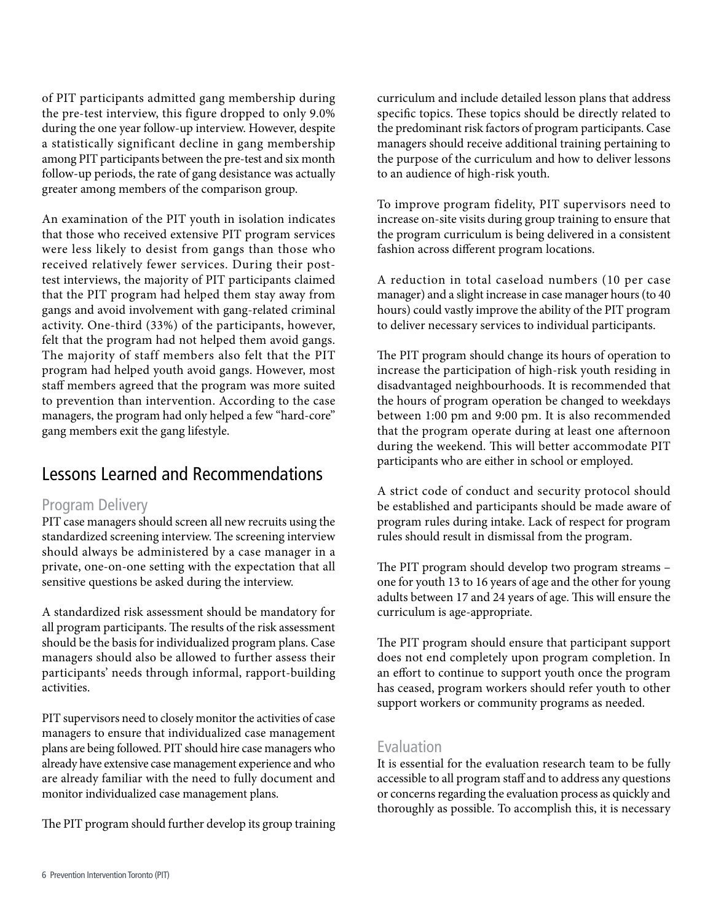of PIT participants admitted gang membership during the pre-test interview, this figure dropped to only 9.0% during the one year follow-up interview. However, despite a statistically significant decline in gang membership among PIT participants between the pre-test and six month follow-up periods, the rate of gang desistance was actually greater among members of the comparison group.

An examination of the PIT youth in isolation indicates that those who received extensive PIT program services were less likely to desist from gangs than those who received relatively fewer services. During their posttest interviews, the majority of PIT participants claimed that the PIT program had helped them stay away from gangs and avoid involvement with gang-related criminal activity. One-third (33%) of the participants, however, felt that the program had not helped them avoid gangs. The majority of staff members also felt that the PIT program had helped youth avoid gangs. However, most staff members agreed that the program was more suited to prevention than intervention. According to the case managers, the program had only helped a few "hard-core" gang members exit the gang lifestyle.

## Lessons Learned and Recommendations

### Program Delivery

PIT case managers should screen all new recruits using the standardized screening interview. The screening interview should always be administered by a case manager in a private, one-on-one setting with the expectation that all sensitive questions be asked during the interview.

A standardized risk assessment should be mandatory for all program participants. The results of the risk assessment should be the basis for individualized program plans. Case managers should also be allowed to further assess their participants' needs through informal, rapport-building activities.

PIT supervisors need to closely monitor the activities of case managers to ensure that individualized case management plans are being followed. PIT should hire case managers who already have extensive case management experience and who are already familiar with the need to fully document and monitor individualized case management plans.

The PIT program should further develop its group training

curriculum and include detailed lesson plans that address specific topics. These topics should be directly related to the predominant risk factors of program participants. Case managers should receive additional training pertaining to the purpose of the curriculum and how to deliver lessons to an audience of high-risk youth.

To improve program fidelity, PIT supervisors need to increase on-site visits during group training to ensure that the program curriculum is being delivered in a consistent fashion across different program locations.

A reduction in total caseload numbers (10 per case manager) and a slight increase in case manager hours (to 40 hours) could vastly improve the ability of the PIT program to deliver necessary services to individual participants.

The PIT program should change its hours of operation to increase the participation of high-risk youth residing in disadvantaged neighbourhoods. It is recommended that the hours of program operation be changed to weekdays between 1:00 pm and 9:00 pm. It is also recommended that the program operate during at least one afternoon during the weekend. This will better accommodate PIT participants who are either in school or employed.

A strict code of conduct and security protocol should be established and participants should be made aware of program rules during intake. Lack of respect for program rules should result in dismissal from the program.

The PIT program should develop two program streams – one for youth 13 to 16 years of age and the other for young adults between 17 and 24 years of age. This will ensure the curriculum is age-appropriate.

The PIT program should ensure that participant support does not end completely upon program completion. In an effort to continue to support youth once the program has ceased, program workers should refer youth to other support workers or community programs as needed.

### Evaluation

It is essential for the evaluation research team to be fully accessible to all program staff and to address any questions or concerns regarding the evaluation process as quickly and thoroughly as possible. To accomplish this, it is necessary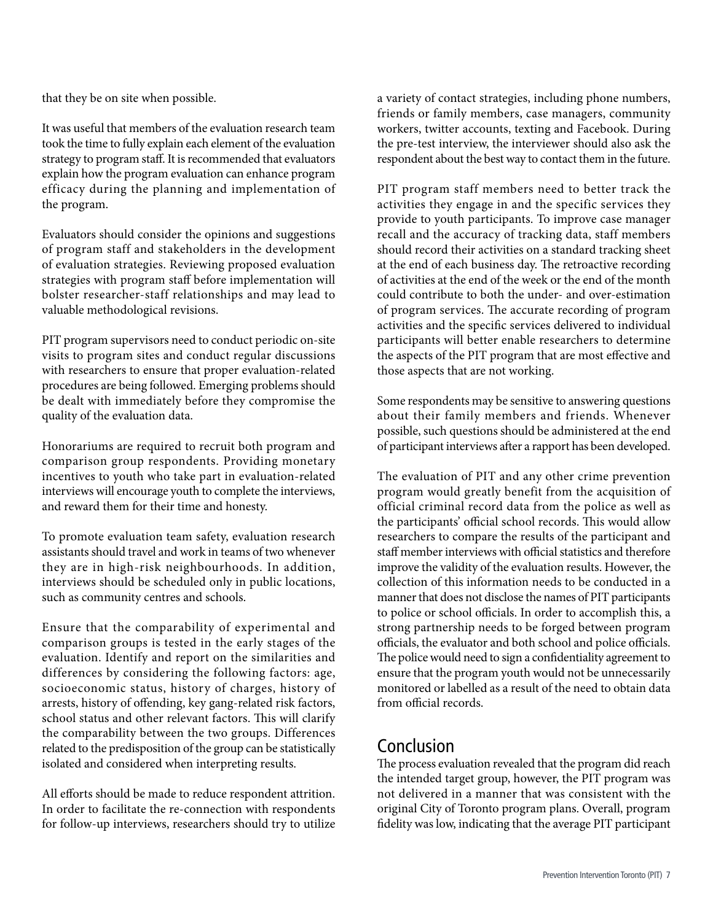that they be on site when possible.

It was useful that members of the evaluation research team took the time to fully explain each element of the evaluation strategy to program staff. It is recommended that evaluators explain how the program evaluation can enhance program efficacy during the planning and implementation of the program.

Evaluators should consider the opinions and suggestions of program staff and stakeholders in the development of evaluation strategies. Reviewing proposed evaluation strategies with program staff before implementation will bolster researcher-staff relationships and may lead to valuable methodological revisions.

PIT program supervisors need to conduct periodic on-site visits to program sites and conduct regular discussions with researchers to ensure that proper evaluation-related procedures are being followed. Emerging problems should be dealt with immediately before they compromise the quality of the evaluation data.

Honorariums are required to recruit both program and comparison group respondents. Providing monetary incentives to youth who take part in evaluation-related interviews will encourage youth to complete the interviews, and reward them for their time and honesty.

To promote evaluation team safety, evaluation research assistants should travel and work in teams of two whenever they are in high-risk neighbourhoods. In addition, interviews should be scheduled only in public locations, such as community centres and schools.

Ensure that the comparability of experimental and comparison groups is tested in the early stages of the evaluation. Identify and report on the similarities and differences by considering the following factors: age, socioeconomic status, history of charges, history of arrests, history of offending, key gang-related risk factors, school status and other relevant factors. This will clarify the comparability between the two groups. Differences related to the predisposition of the group can be statistically isolated and considered when interpreting results.

All efforts should be made to reduce respondent attrition. In order to facilitate the re-connection with respondents for follow-up interviews, researchers should try to utilize a variety of contact strategies, including phone numbers, friends or family members, case managers, community workers, twitter accounts, texting and Facebook. During the pre-test interview, the interviewer should also ask the respondent about the best way to contact them in the future.

PIT program staff members need to better track the activities they engage in and the specific services they provide to youth participants. To improve case manager recall and the accuracy of tracking data, staff members should record their activities on a standard tracking sheet at the end of each business day. The retroactive recording of activities at the end of the week or the end of the month could contribute to both the under- and over-estimation of program services. The accurate recording of program activities and the specific services delivered to individual participants will better enable researchers to determine the aspects of the PIT program that are most effective and those aspects that are not working.

Some respondents may be sensitive to answering questions about their family members and friends. Whenever possible, such questions should be administered at the end of participant interviews after a rapport has been developed.

The evaluation of PIT and any other crime prevention program would greatly benefit from the acquisition of official criminal record data from the police as well as the participants' official school records. This would allow researchers to compare the results of the participant and staff member interviews with official statistics and therefore improve the validity of the evaluation results. However, the collection of this information needs to be conducted in a manner that does not disclose the names of PIT participants to police or school officials. In order to accomplish this, a strong partnership needs to be forged between program officials, the evaluator and both school and police officials. The police would need to sign a confidentiality agreement to ensure that the program youth would not be unnecessarily monitored or labelled as a result of the need to obtain data from official records.

## Conclusion

The process evaluation revealed that the program did reach the intended target group, however, the PIT program was not delivered in a manner that was consistent with the original City of Toronto program plans. Overall, program fidelity was low, indicating that the average PIT participant